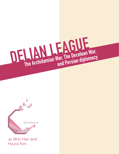



Je Woo Han and Hyunji Kim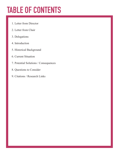# **TABLE OF CONTENTS**

- 1. Letter from Director
- 2. Letter from Chair
- 3. Delegations
- 4. Introduction
- 5. Historical Background
- 6. Current Situation
- 7. Potential Solutions / Consequences
- 8. Questions to Consider
- 9. Citations / Research Links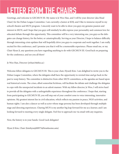# **LETTER FROM THE CHAIRS**

Greetings, and welcome to GECMUN III. My name is Je Woo Han, and I will be your director (aka Head Chair) for the Delian League Committee. I am currently a Junior at KISJ, and I like to immerse myself in my school's theatre and MUN program. I sincerely want to be able to show you guys my genuine passion and interest in MUN, and I hope that you guys will similarly be able express your personality and common love for educated debate through this opportunity. This committee will be a very interesting one, you guys as the delegates can change history, for the better, or catastrophically. Serving as your Director, I hope to balance difficulty through interesting crisis updates that will hopefully drive you guys to cooperate and work together. I am really excited for this conference, and I promise you that it will be a memorable experience. Please email me, or my Chair Hyun Ji, any questions you have regarding anything to do with GECMUN III. Good luck on preparing for the conference, and see you all there!

Je Woo Han, Director (jwhan18@kis.ac)

Welcome fellow delegates to GECMUN III. This is your chair, HyunJi Kim. I am delighted to invite you to the Delian League Committee, where the delegates shall have the opportunity to rewind time and go back in the past to warp history. The committee is distinctive from other MUN committees, as the agendas are based upon real historical events. The crises, albeit somewhat fictitious, will facilitate the debate and challenge the delegates to cope with the unexpected incidents in an adroit manner. With my fellow director, Je Woo, I will strive hard to provide all the delegates with a unforgettable experience throughout the conference. I hope that, starting from participating in GECMUN III, you will step out of your comfort zone to voice interesting, innovative opinions. My greatest interest lies in civil education, which reflects my passion in peace, NGO activities, and human rights. I am also a dancer as well as actor whose stage persona has been developed through multiple stage and directing experiences. Charing MUN is my another big leap forward for me as a learner, and I am looking forward to meeting every single delegate. Feel free to approach me via email with any inquiries.

Now, the history is in your hands. Good Luck delegates!

Hyun Ji Kim, Chair (kimhyunji00975@branksome.asia)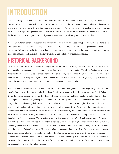# **INTRODUCTION**

The Delian League was an alliance forged by Athens preluding the Peloponnesian war. It was a league created with motivations to create a more stable alliance between the citystates, in the case of another potential Persian invasion. It was also created to properly disperse the spoils of war brought by Persia's defeat in the GrecoPersian war, as evidenced by the Delian League being named after the holy island of Delos where the united treasury was established; additionally, the alliance was a attempt to unify all citystates economies to expand and grow in power together.

Headed by historian/general Thucydides and previously Pericles (until he passed away), the Delian League functioned through economic contributions by its patron/allied citystates, or military contributions that gave way to potential expansion. Delegates of the Delian League had the authority to decide tax rates, distribution of economic assets such as trade and resources, authorization of military expansion, and diplomacy with foreign nations.

### **HISTORICAL BACKGROUND**

To understand the formation of the Delian League and the unstable political inequities that it lead to, the GrecoPersian wars must be first considered as the preluding crisis that drove the citystates together. The GrecoPersian war was a war fought between the united Greek citystates against the Persian army led by Darius the great. The reason the war initially broke out is quite elongated, beginning with Persia's previous ruler Cyrus the Great, 50 years ago. Cyrus the Great, during the era of massive military expansion by Persia, went and conquered Ionia.

Ionia was a Greek land where despite it being farther into the AsiaMinor, (and thus quite a ways away from the Greek mainland) the people living there retained undiluted Greek customs and tradition, including speaking Greek. When Cyrus the Great expanded Persian territory to engulf Ionia, he had great trouble administering and uniting the otherwise separated citystate lifestyle the people were used to. So, Cyrus promoted rulers to keep each citystate in check. They did this with harsh regulations and and acts to sodomize the Greek culture and replace it with a Persian one. This was met with retaliation from the Ionians who were given military support from Athens, and they were ultimately successful in liberating Ionia from Persian influence. This initial revolt by the Ionians angered the later leader of Persia Darius the Great, (aka Darius I) he decided to sail across the Aegean for the sake of invading Greece as revenge for interfering in Persian expansion. This invasion was met with a shaky alliance of the Greek citystates out of desperation as Persian forces outnumbered the individual citystates, unity was the only option if they were to have a chance at defeating Persia. The first GrecoPersian war 'ended' with the death of Darius the Great, his son, Xerxes I immediately started the 'second' GrecoPersian war. Xerxes was adamant on conquering the whole of Greece, he mustered an even larger army and invaded Greece; and he successfully defeated the united Greeks on many fronts, even capturing a defeated and destroyed Athens for a while. Fortunately, in an decisive victory at Salamis, the Greeks were able to repel the Persian forces and stop the Persian offensive for good. In order to rebuild and prepare for another potential Persian invasion, Athens created the Delian League.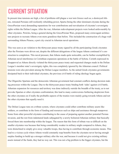#### **CURRENT SITUATION**

In present time tensions are high, a list of problems still plague a war torn Greece such as; a destroyed Athens, retreated Persians still resiliently rebuilding power, Sparta (being the other dominant citystate during the GrecoPersian wars) demanding reparations for war contributions and reevaluation of citystate's sovereignty rights within the Delian League. After the war, Athenian redevelopment projects were looked unfavourably by other citystates. Pericles, being a general during the GrecoPersian Wars, proposed many extravagant architecture projects to recreate Athens even more grandiose than before. This included the construction of a huge wall surrounding Athens Piraeus, a port city crucial in Athenian naval operations.

This was seen as an violation to the thirtyyears peace treaty signed by all the participating Greek citystates after the Persians were driven out, despite the different delegations of the league Athens continued it's construction to completion. This naval pressure, that Athens made quite noticeable, can be further exemplified by Athenian naval interference in Corinthian expansion operations at the battle of Sybota. Corinth expressed its disapproval as Athens directly violated the thirtyyears peace treaty and requested changes made in the Delian League's member state's sovereignty rights, this was completely ignored by the Athenian council. Political tensions were also prevalent among the Delian League members. As the united Greek citystates governments dissipated back to their individual citystates, the previous civil battle of ruling ideology began again.

The Oligarchic Spartans and the democratic Athenian government had constant conflicts during decision making processes within the League. Due to the thirtyyears peace treaty binding both 'sides' against civil battle, Athenian expansion for resources and territory was done indirectly outside the breadth of the treaty, as to not provoke Spartan or other citystates confrontation; this lead to many controversies furthering skepticism from the other citystates on if really the profitable aspects of the treaties were mainly going towards Athens and not the other citystates that equally need it.

The Delian League runs on a tribute system, where citystates could either contribute military assets like soldiers, or contribute in the form of funding and resources such as ships and assistance through manpower. Some from other powerful citystates contributing to the cause of preparing against another potential Persian invasion, and the rest from indentured lands subjugated by a newly bolstered Athenian military that basically forced them into membership within the league. The reason that this form of tribute was so difficult on the smaller citystates was because that being considerably weaker in military might compared to Athens, they were disinclined to simply give away valuable troops, thus having to contribute through economic means. This lead to a vicious cycle where Athens would constantly reap benefits from the citystates never having enough surplus funding to build up a stronger military after the war, and because it could not give existing military assets instead of the funds, they had no way out. This was not a big problem to the bigger citystates, but the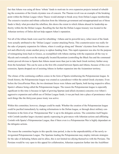fact that Athens was using all those 'tribute' funds to motivate its own expansion projects instead of rebuilding the economies of the Greek citystates was of concern. The Thasian revolt was an example of the breaking point within the Delian League where Thasos would attempt to break away from Delian League membership. The extensive taxation and tribute collection from the Athenian government and misappropriated use of those funds is likely what provoked the rebellion, this shows the extent in which Athens abused its leadership authority within the the Delian League. Recalling the fact that the Delian League treasury was located in the Athenian territory of Delos did not help support Athen's reputation.

Not all of the tribute funds were used for rebuilding =Athens and its powerful navy, infact most of the funds were actually attributed to the 'Delian League' counter attacking Persia. This counterinvasion was really for the sake of property expansion for Athens, where it could go along and 'liberate' citystates from Persian control and effectively create another proxy to siphon funding from. This rapid expansion was also for the purpose of reintegrating Ionia back to Greece, as exemplified with Athens starting with the expansion all the way to Mycale and eventually even the strategically located Byzantium (controlling the Black Sea and the communal straits) proved obvious to Sparta that Athens meant more than just to take back Greek territory further away from the homeland. This can be seen as the first rifts created between Sparta and Athens, because of this overextension, Sparta dropped out of assisting Athens in further expansion into the Asianminor territory.

The climax of the continuing conflicts comes in the form of Sparta reimbursing the Peloponnesian league. In Greek history, the Peloponnesian league was created as a pseudosect within the united Greek citystates. Even before the GrecoPersian Wars, the two dominant forces were Athens and Sparta, both having respective allies; Sparta's alliance being called the Peloponnesian league. The reason the Peloponnesian league is especially significant in this time is because in light of growing Spartan (and allied citystates) concerns over Athen's aggressive expansion and selfish use of Delian League funds, it was put back into a place of prominence when such things like the thirtyyears peace treaty was active.

Within this committee; however, changes could be made. Whether the creation of the Peloponnesian league could be pacified immediately by making reformations to the Delian league, or through direct military confrontation in the form of an 'Peloponnesian War' is up to the delegates actions. The committee itself begins with Corinth (another larger citystate) openly expressing its grievances with Athenian actions and affiliating Corinth with Sparta's Peloponnesian League, thus if there even is a Peloponnesian War is highly dependant on the delegates actions.

The reason the committee begins in this specific time period, is due to the unpredictability of the newly reinvigorated Peloponnesian League. The Spartans leading the Peloponnesian may employ intricate strategies for the sake of defeating Athens and its allies, this is not limited too allying themselves with the Persians. The Persians would be very open to this appeal for collaboration, Athenian expansion further into the AsiaMinor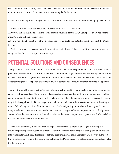has taken more territory away from the Persians than what they started before invading the Greek mainland; more reasons to assist the Peloponnesians in destroying the Delian league.

Overall, the most important things to take away from the current situation can be summed up by the following:

1. Athens is in a powerful, but delicate relationship with other Greek citystates.

2. Previous Athenian actions against the wills of other citystates despite the 30 years peace treaty has put the integrity of the Delian League at risk.

3. Sparta has officially reimbursed the Peloponnesian league, could be a potential coalition against the Delian League.

4. Persia is always ready to cooperate with other citystates to destroy Athens, even if they may not be able to conquer all of Greece as they previously attempted.

### **POTENTIAL SOLUTIONS AND CONSEQUENCES**

The Spartans will resort to any method necessary to defeat the Delian League, whether this be through political pressuring or direct military confrontations. The Peloponnesian league operates as a partnership, where in turn of Sparta leading the league and protecting the other states, they invest in Spartan operations. This is under the direct sovereignty of the Spartan oligarchy, and with it comes a huge amount of responsibility to the Spartans.

This is to the benefit of the investing 'partner' citystates as they could pressure the Spartan king's to somewhat conform to their agendas without having to face direct consequences if something goes wrong; however, this could be a potential exploitative point for the Delian League. The Athenian government is governed by democracy, this also applies to the Delian League where all member citystates share a certain amount of direct input on the Delian League's actions. Despite many cases of Athens ignoring the smaller 'tribute citystate's' votes, many smaller citystates are more inclined to participate in a league with direct representation. If the Spartans act out of line they are most likely to lose allies, while in the Delian League most citystates are alluded to believing that they still have some amount of input.

Athens could potentially utilize this as an attempt to disunify the Peloponnesian league. An example case would be appealing to other, smaller, citystates within the Peloponnesian league to change affiliation if Sparta is to collaborate with Persia. This form of political pressuring could easily alienate Sparta away from the rest of the Peloponnesian league, either getting more allies for the Delian League; or at least creating neutral citystates for the time being.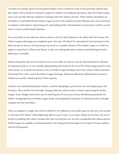Currently as it stands, Sparta has the greatest military asset everknown to the Greek peninsula, Spartan hoplites. Sparta will no doubt be inclined to employ its military for landbased operations, thus The Delian League must come up with alternate solutions to dealing with their infantry prowess. When military skirmishes are inevitable, it is advisable that the Delian League invests in the equally powerful Athenian navy and avoid headon infantry confrontation. Improving ports and funding further developments of naval assets could be crucial when it comes to defeating the Spartans.

One crucial flaw to this otherwise obvious tactic, is the fact that if Sparta is to be allied with the Persians, The Delian League's advantages are completely gone. Not only will Athen's be outnumbered and outclassed on the field, but also on the sea. Overinvestment may lead to a complete disaster if The Delian League is to hold out against a united force of Persia and Sparta, in this case seeking alternative solutions and utilizing the funds differently is advisable.

Athens during this time of crisis must be wary, as true allies are hard to come by. Raising funds for Athenian development projects, or even actually appropriating such funds for the use of The Delian league must be done with caution. As it stands, the primary source of Delian League funding comes from Athens 'tribute citystates'. 'Honoring' them with a seat in the Delian League meetings, Athens has effectively siphoned their resources without necessarily considering any of their requests.

Another, more farfetched potential solution, could be attempting to prevent the war from happening in the first place. This could be done through changing Athenian policies when it comes to governing the Delian League. Some changes and actions may be satisfying the 30 years peace treaty, distributing reparations for Athens' misappropriation of Delian League funds, and stopping the expansion of Athenian territory through conquest into the Asia Minor.

These are legislative changes that will most likely be very difficult to universally agree to and carry out, because it will make all of Athens' selfstrengthening efforts to go to waste. As it stands, Athens has become very powerful due to profiting off of other citystates after the GrecoPersian war. It is also considerable that Athens and the Delian League are capable of sustaining another war, being powerful enough to even repel a Persian coalition with the Peloponnese.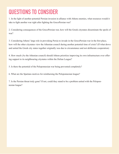## **QUESTIONS TO CONSIDER**

1. In the light of another potential Persian invasion in alliance with Athens enemies, what resources would it take to fight another war right after fighting the GrecoPersian war?

2. Considering consequences of the GrecoPersian war, how will the Greek citystates disseminate the spoils of war?

3. Considering Athens' large role in provoking Persia to invade in the GrecoPersian war in the first place, how will the other citystates view the Athenian council during another potential time of crisis? (If what drove and united the Greek city states together originally was due to circumstance and not deliberate cooperation)

4. How much (As the Athenian council) should Athens prioritize improving its own infrastructure over offering support to its neighbouring citystates within the Delian League?

5. Is there the potential of the Peloponnesian war being prevented completely?

6. What are the Spartans motives for reimbursing the Peloponnesian league?

7. Is the Persian threat truly gone? If not, could they stand to be a problem united with the Peloponnesian league?